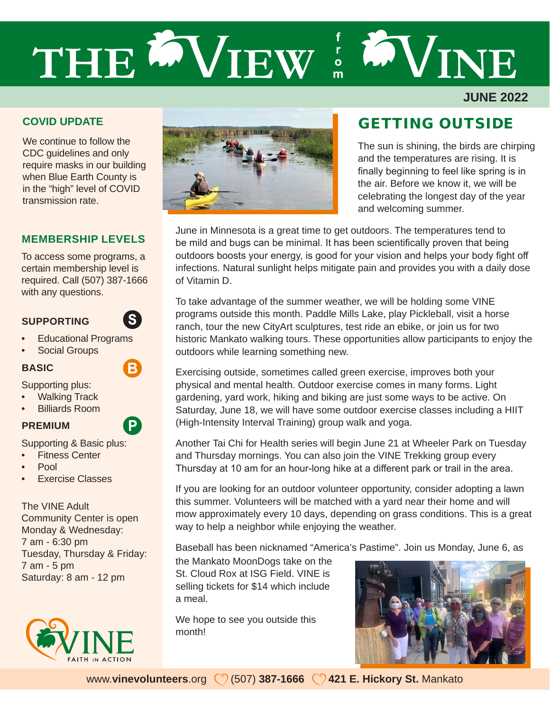# THE WIEW : WINE

# **JUNE 2022**

# **COVID UPDATE**

We continue to follow the CDC guidelines and only require masks in our building when Blue Earth County is in the "high" level of COVID transmission rate.

# **MEMBERSHIP LEVELS**

To access some programs, a certain membership level is required. Call (507) 387-1666 with any questions.

S.

P

# **SUPPORTING**

- Educational Programs
- Social Groups

# **BASIC**

Supporting plus:

- Walking Track
- Billiards Room

# **PREMIUM**

Supporting & Basic plus:

- **Fitness Center**
- Pool
- Exercise Classes

The VINE Adult Community Center is open Monday & Wednesday: 7 am - 6:30 pm Tuesday, Thursday & Friday: 7 am - 5 pm Saturday: 8 am - 12 pm





# GETTING OUTSIDE

The sun is shining, the birds are chirping and the temperatures are rising. It is finally beginning to feel like spring is in the air. Before we know it, we will be celebrating the longest day of the year and welcoming summer.

June in Minnesota is a great time to get outdoors. The temperatures tend to be mild and bugs can be minimal. It has been scientifically proven that being outdoors boosts your energy, is good for your vision and helps your body fight off infections. Natural sunlight helps mitigate pain and provides you with a daily dose of Vitamin D.

To take advantage of the summer weather, we will be holding some VINE programs outside this month. Paddle Mills Lake, play Pickleball, visit a horse ranch, tour the new CityArt sculptures, test ride an ebike, or join us for two historic Mankato walking tours. These opportunities allow participants to enjoy the outdoors while learning something new.

Exercising outside, sometimes called green exercise, improves both your physical and mental health. Outdoor exercise comes in many forms. Light gardening, yard work, hiking and biking are just some ways to be active. On Saturday, June 18, we will have some outdoor exercise classes including a HIIT (High-Intensity Interval Training) group walk and yoga.

Another Tai Chi for Health series will begin June 21 at Wheeler Park on Tuesday and Thursday mornings. You can also join the VINE Trekking group every Thursday at 10 am for an hour-long hike at a different park or trail in the area.

If you are looking for an outdoor volunteer opportunity, consider adopting a lawn this summer. Volunteers will be matched with a yard near their home and will mow approximately every 10 days, depending on grass conditions. This is a great way to help a neighbor while enjoying the weather.

Baseball has been nicknamed "America's Pastime". Join us Monday, June 6, as

the Mankato MoonDogs take on the St. Cloud Rox at ISG Field. VINE is selling tickets for \$14 which include a meal.

We hope to see you outside this month!

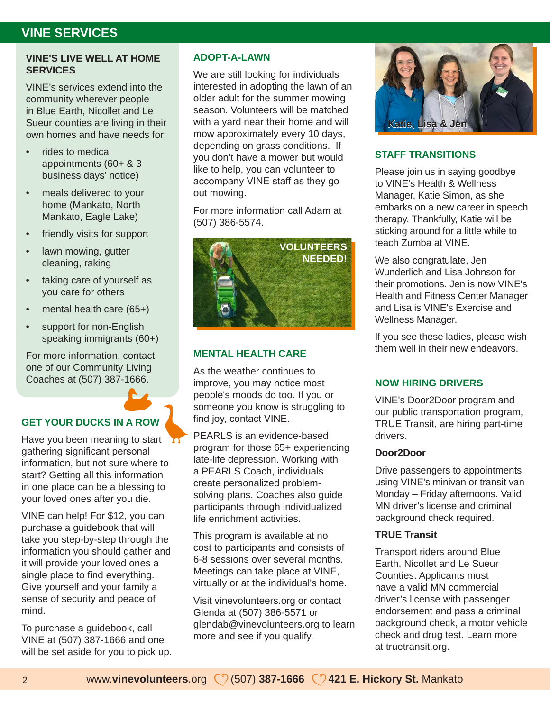# **VINE SERVICES**

# **VINE'S LIVE WELL AT HOME SERVICES**

VINE's services extend into the community wherever people in Blue Earth, Nicollet and Le Sueur counties are living in their own homes and have needs for:

- rides to medical appointments (60+ & 3 business days' notice)
- meals delivered to your home (Mankato, North Mankato, Eagle Lake)
- friendly visits for support
- lawn mowing, gutter cleaning, raking
- taking care of yourself as you care for others
- mental health care (65+)
- support for non-English speaking immigrants (60+)

For more information, contact one of our Community Living Coaches at (507) 387-1666.

# **GET YOUR DUCKS IN A ROW**

Have you been meaning to start gathering significant personal information, but not sure where to start? Getting all this information in one place can be a blessing to your loved ones after you die.

VINE can help! For \$12, you can purchase a guidebook that will take you step-by-step through the information you should gather and it will provide your loved ones a single place to find everything. Give yourself and your family a sense of security and peace of mind.

To purchase a guidebook, call VINE at (507) 387-1666 and one will be set aside for you to pick up.

# **ADOPT-A-LAWN**

We are still looking for individuals interested in adopting the lawn of an older adult for the summer mowing season. Volunteers will be matched with a yard near their home and will mow approximately every 10 days, depending on grass conditions. If you don't have a mower but would like to help, you can volunteer to accompany VINE staff as they go out mowing.

For more information call Adam at (507) 386-5574.



### **MENTAL HEALTH CARE**

As the weather continues to improve, you may notice most people's moods do too. If you or someone you know is struggling to find joy, contact VINE.

PEARLS is an evidence-based program for those 65+ experiencing late-life depression. Working with a PEARLS Coach, individuals create personalized problemsolving plans. Coaches also guide participants through individualized life enrichment activities.

This program is available at no cost to participants and consists of 6-8 sessions over several months. Meetings can take place at VINE, virtually or at the individual's home.

Visit vinevolunteers.org or contact Glenda at (507) 386-5571 or glendab@vinevolunteers.org to learn more and see if you qualify.



# **STAFF TRANSITIONS**

Please join us in saying goodbye to VINE's Health & Wellness Manager, Katie Simon, as she embarks on a new career in speech therapy. Thankfully, Katie will be sticking around for a little while to teach Zumba at VINE.

We also congratulate, Jen Wunderlich and Lisa Johnson for their promotions. Jen is now VINE's Health and Fitness Center Manager and Lisa is VINE's Exercise and Wellness Manager.

If you see these ladies, please wish them well in their new endeavors.

# **NOW HIRING DRIVERS**

VINE's Door2Door program and our public transportation program, TRUE Transit, are hiring part-time drivers.

### **Door2Door**

Drive passengers to appointments using VINE's minivan or transit van Monday – Friday afternoons. Valid MN driver's license and criminal background check required.

# **TRUE Transit**

Transport riders around Blue Earth, Nicollet and Le Sueur Counties. Applicants must have a valid MN commercial driver's license with passenger endorsement and pass a criminal background check, a motor vehicle check and drug test. Learn more at truetransit.org.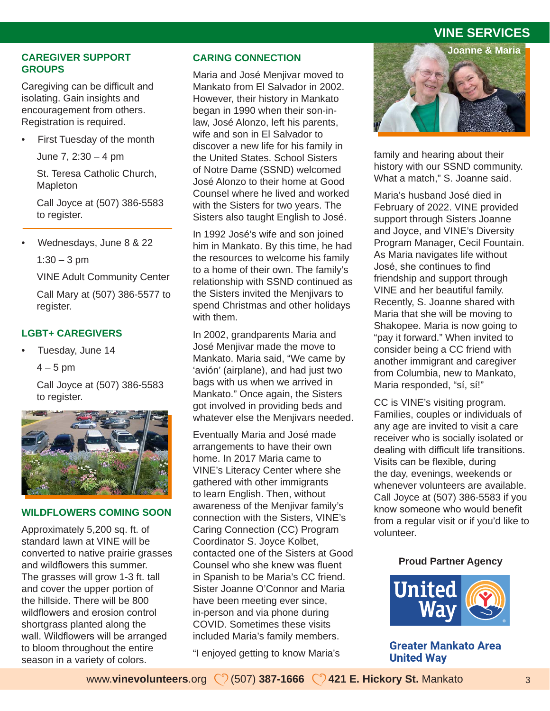# **VINE SERVICES**

# **CAREGIVER SUPPORT GROUPS**

Caregiving can be difficult and isolating. Gain insights and encouragement from others. Registration is required.

First Tuesday of the month

June 7, 2:30 – 4 pm

St. Teresa Catholic Church, Mapleton

Call Joyce at (507) 386-5583 to register.

• Wednesdays, June 8 & 22

 $1:30 - 3$  pm

VINE Adult Community Center

Call Mary at (507) 386-5577 to register.

# **LGBT+ CAREGIVERS**

• Tuesday, June 14

 $4 - 5$  pm

Call Joyce at (507) 386-5583 to register.



### **WILDFLOWERS COMING SOON**

Approximately 5,200 sq. ft. of standard lawn at VINE will be converted to native prairie grasses and wildflowers this summer. The grasses will grow 1-3 ft. tall and cover the upper portion of the hillside. There will be 800 wildflowers and erosion control shortgrass planted along the wall. Wildflowers will be arranged to bloom throughout the entire season in a variety of colors.

Maria and José Menjivar moved to Mankato from El Salvador in 2002. However, their history in Mankato began in 1990 when their son-inlaw, José Alonzo, left his parents, wife and son in El Salvador to discover a new life for his family in the United States. School Sisters of Notre Dame (SSND) welcomed José Alonzo to their home at Good Counsel where he lived and worked with the Sisters for two years. The Sisters also taught English to José.

In 1992 José's wife and son joined him in Mankato. By this time, he had the resources to welcome his family to a home of their own. The family's relationship with SSND continued as the Sisters invited the Menjivars to spend Christmas and other holidays with them.

In 2002, grandparents Maria and José Menjivar made the move to Mankato. Maria said, "We came by 'avión' (airplane), and had just two bags with us when we arrived in Mankato." Once again, the Sisters got involved in providing beds and whatever else the Menjivars needed.

Eventually Maria and José made arrangements to have their own home. In 2017 Maria came to VINE's Literacy Center where she gathered with other immigrants to learn English. Then, without awareness of the Menjivar family's connection with the Sisters, VINE's Caring Connection (CC) Program Coordinator S. Joyce Kolbet, contacted one of the Sisters at Good Counsel who she knew was fluent in Spanish to be Maria's CC friend. Sister Joanne O'Connor and Maria have been meeting ever since, in-person and via phone during COVID. Sometimes these visits included Maria's family members.

"I enjoyed getting to know Maria's



family and hearing about their history with our SSND community. What a match," S. Joanne said.

Maria's husband José died in February of 2022. VINE provided support through Sisters Joanne and Joyce, and VINE's Diversity Program Manager, Cecil Fountain. As Maria navigates life without José, she continues to find friendship and support through VINE and her beautiful family. Recently, S. Joanne shared with Maria that she will be moving to Shakopee. Maria is now going to "pay it forward." When invited to consider being a CC friend with another immigrant and caregiver from Columbia, new to Mankato, Maria responded, "sí, sí!"

CC is VINE's visiting program. Families, couples or individuals of any age are invited to visit a care receiver who is socially isolated or dealing with difficult life transitions. Visits can be flexible, during the day, evenings, weekends or whenever volunteers are available. Call Joyce at (507) 386-5583 if you know someone who would benefit from a regular visit or if you'd like to volunteer.

# **Proud Partner Agency**



**Greater Mankato Area United Way**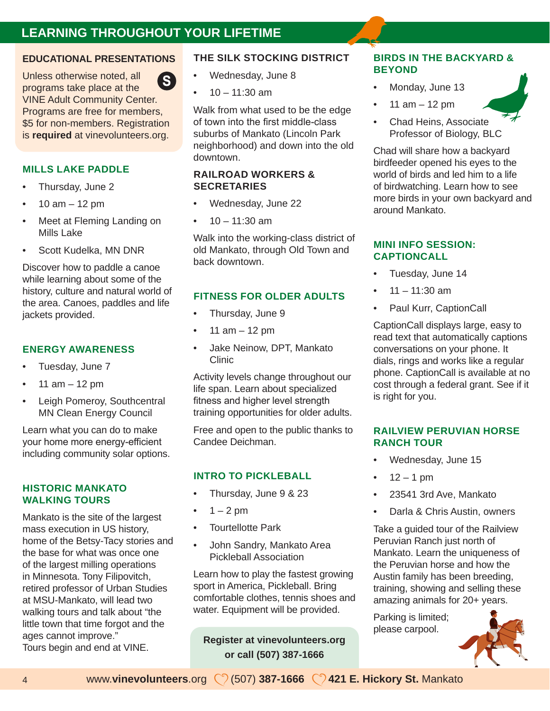# **LEARNING THROUGHOUT YOUR LIFETIME**

# **EDUCATIONAL PRESENTATIONS**

Unless otherwise noted, all  $\vert S \vert$ programs take place at the VINE Adult Community Center. Programs are free for members, \$5 for non-members. Registration is **required** at vinevolunteers.org.

# **MILLS LAKE PADDLE**

- Thursday, June 2
- 10  $am 12 pm$
- Meet at Fleming Landing on Mills Lake
- Scott Kudelka, MN DNR

Discover how to paddle a canoe while learning about some of the history, culture and natural world of the area. Canoes, paddles and life jackets provided.

### **ENERGY AWARENESS**

- Tuesday, June 7
- 11  $am 12 pm$
- Leigh Pomeroy, Southcentral MN Clean Energy Council

Learn what you can do to make your home more energy-efficient including community solar options.

### **HISTORIC MANKATO WALKING TOURS**

Mankato is the site of the largest mass execution in US history, home of the Betsy-Tacy stories and the base for what was once one of the largest milling operations in Minnesota. Tony Filipovitch, retired professor of Urban Studies at MSU-Mankato, will lead two walking tours and talk about "the little town that time forgot and the ages cannot improve." Tours begin and end at VINE.

### **THE SILK STOCKING DISTRICT**

- Wednesday, June 8
- $10 11:30$  am

Walk from what used to be the edge of town into the first middle-class suburbs of Mankato (Lincoln Park neighborhood) and down into the old downtown.

# **RAILROAD WORKERS & SECRETARIES**

- Wednesday, June 22
- $10 11:30$  am

Walk into the working-class district of old Mankato, through Old Town and back downtown.

# **FITNESS FOR OLDER ADULTS**

- Thursday, June 9
- $11$  am  $12$  pm
- Jake Neinow, DPT, Mankato Clinic

Activity levels change throughout our life span. Learn about specialized fitness and higher level strength training opportunities for older adults.

Free and open to the public thanks to Candee Deichman.

# **INTRO TO PICKLEBALL**

- Thursday, June 9 & 23
- $1 2$  pm
- Tourtellotte Park
- John Sandry, Mankato Area Pickleball Association

Learn how to play the fastest growing sport in America, Pickleball. Bring comfortable clothes, tennis shoes and water. Equipment will be provided.

**Register at vinevolunteers.org or call (507) 387-1666**

# **BIRDS IN THE BACKYARD & BEYOND**

- Monday, June 13
- 11  $am 12 pm$
- Chad Heins, Associate Professor of Biology, BLC

Chad will share how a backyard birdfeeder opened his eyes to the world of birds and led him to a life of birdwatching. Learn how to see more birds in your own backyard and around Mankato.

# **MINI INFO SESSION: CAPTIONCALL**

- Tuesday, June 14
- $11 11:30$  am
- Paul Kurr, CaptionCall

CaptionCall displays large, easy to read text that automatically captions conversations on your phone. It dials, rings and works like a regular phone. CaptionCall is available at no cost through a federal grant. See if it is right for you.

# **RAILVIEW PERUVIAN HORSE RANCH TOUR**

- Wednesday, June 15
- $12 1$  pm
- 23541 3rd Ave, Mankato
- Darla & Chris Austin, owners

Take a guided tour of the Railview Peruvian Ranch just north of Mankato. Learn the uniqueness of the Peruvian horse and how the Austin family has been breeding, training, showing and selling these amazing animals for 20+ years.

Parking is limited; please carpool.

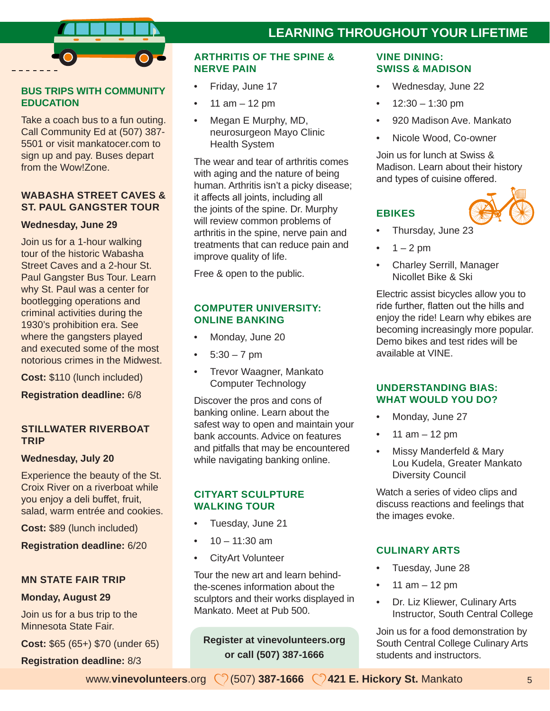# **BUS TRIPS WITH COMMUNITY EDUCATION**

Take a coach bus to a fun outing. Call Community Ed at (507) 387- 5501 or visit mankatocer.com to sign up and pay. Buses depart from the Wow!Zone.

# **WABASHA STREET CAVES & ST. PAUL GANGSTER TOUR**

# **Wednesday, June 29**

Join us for a 1-hour walking tour of the historic Wabasha Street Caves and a 2-hour St. Paul Gangster Bus Tour. Learn why St. Paul was a center for bootlegging operations and criminal activities during the 1930's prohibition era. See where the gangsters played and executed some of the most notorious crimes in the Midwest.

**Cost:** \$110 (lunch included)

**Registration deadline:** 6/8

# **STILLWATER RIVERBOAT TRIP**

# **Wednesday, July 20**

Experience the beauty of the St. Croix River on a riverboat while you enjoy a deli buffet, fruit, salad, warm entrée and cookies.

**Cost:** \$89 (lunch included)

**Registration deadline:** 6/20

# **MN STATE FAIR TRIP**

# **Monday, August 29**

Join us for a bus trip to the Minnesota State Fair.

**Cost:** \$65 (65+) \$70 (under 65)

### **Registration deadline:** 8/3

# **ARTHRITIS OF THE SPINE & NERVE PAIN**

- Friday, June 17
- $11$  am  $-12$  pm
- Megan E Murphy, MD, neurosurgeon Mayo Clinic Health System

The wear and tear of arthritis comes with aging and the nature of being human. Arthritis isn't a picky disease; it affects all joints, including all the joints of the spine. Dr. Murphy will review common problems of arthritis in the spine, nerve pain and treatments that can reduce pain and improve quality of life.

Free & open to the public.

# **COMPUTER UNIVERSITY: ONLINE BANKING**

- Monday, June 20
- $5:30 7 \text{ pm}$
- Trevor Waagner, Mankato Computer Technology

Discover the pros and cons of banking online. Learn about the safest way to open and maintain your bank accounts. Advice on features and pitfalls that may be encountered while navigating banking online.

# **CITYART SCULPTURE WALKING TOUR**

- Tuesday, June 21
- $10 11:30$  am
- **CityArt Volunteer**

Tour the new art and learn behindthe-scenes information about the sculptors and their works displayed in Mankato. Meet at Pub 500.

**Register at vinevolunteers.org or call (507) 387-1666**

# **VINE DINING: SWISS & MADISON**

- Wednesday, June 22
- $12:30 1:30$  pm
- 920 Madison Ave. Mankato
- Nicole Wood, Co-owner

Join us for lunch at Swiss & Madison. Learn about their history and types of cuisine offered.

# **EBIKES**



- Thursday, June 23
- $\bullet$  1 2 pm
- Charley Serrill, Manager Nicollet Bike & Ski

Electric assist bicycles allow you to ride further, flatten out the hills and enjoy the ride! Learn why ebikes are becoming increasingly more popular. Demo bikes and test rides will be available at VINE.

# **UNDERSTANDING BIAS: WHAT WOULD YOU DO?**

- Monday, June 27
- 11  $am 12 pm$
- Missy Manderfeld & Mary Lou Kudela, Greater Mankato Diversity Council

Watch a series of video clips and discuss reactions and feelings that the images evoke.

# **CULINARY ARTS**

- Tuesday, June 28
- $11$  am  $-12$  pm
- Dr. Liz Kliewer, Culinary Arts Instructor, South Central College

Join us for a food demonstration by South Central College Culinary Arts students and instructors.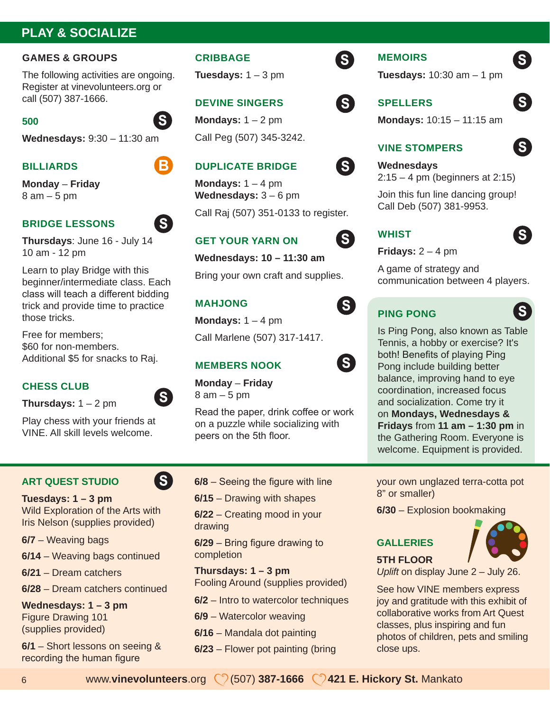# **PLAY & SOCIALIZE**

# **GAMES & GROUPS**

The following activities are ongoing. Register at vinevolunteers.org or call (507) 387-1666.

# **500**

**Wednesdays:** 9:30 – 11:30 am

# **BILLIARDS**

**Monday** – **Friday** 8 am – 5 pm

# **BRIDGE LESSONS**

**Thursdays**: June 16 - July 14 10 am - 12 pm

Learn to play Bridge with this beginner/intermediate class. Each class will teach a different bidding trick and provide time to practice those tricks.

Free for members; \$60 for non-members. Additional \$5 for snacks to Raj.

# **CHESS CLUB**

**Thursdays:**  $1 - 2$  pm

Play chess with your friends at VINE. All skill levels welcome.

# **ART QUEST STUDIO**

**Tuesdays: 1 – 3 pm** Wild Exploration of the Arts with Iris Nelson (supplies provided)

**6/7** – Weaving bags

**6/14** – Weaving bags continued

**6/21** – Dream catchers

**6/28** – Dream catchers continued

**Wednesdays: 1 – 3 pm** Figure Drawing 101 (supplies provided)

**6/1** – Short lessons on seeing & recording the human figure

# **CRIBBAGE**

**Tuesdays:**  $1 - 3$  pm

# **DEVINE SINGERS**

**Mondays:**  $1 - 2$  pm Call Peg (507) 345-3242.

# **DUPLICATE BRIDGE**

**Mondays:** 1 – 4 pm **Wednesdays:** 3 – 6 pm Call Raj (507) 351-0133 to register.

# **GET YOUR YARN ON**

**Wednesdays: 10 – 11:30 am**

Bring your own craft and supplies.

# **MAHJONG**

**Mondays:**  $1 - 4$  pm

Call Marlene (507) 317-1417.

# **MEMBERS NOOK**

**Monday** – **Friday** 8 am – 5 pm

Read the paper, drink coffee or work on a puzzle while socializing with peers on the 5th floor.

**6/8** – Seeing the figure with line

**6/15** – Drawing with shapes

**6/22** – Creating mood in your drawing

**6/29** – Bring figure drawing to completion

**Thursdays: 1 – 3 pm** Fooling Around (supplies provided)

**6/2** – Intro to watercolor techniques

**6/9** – Watercolor weaving

**6/16** – Mandala dot painting

**6/23** – Flower pot painting (bring

# **MEMOIRS**

S

<sub>S</sub>

 $\mathbf{S}$ 

 $\mathbf{S}$ 

**Tuesdays:** 10:30 am – 1 pm



# **SPELLERS**

**Mondays:** 10:15 – 11:15 am

# **VINE STOMPERS**

**Wednesdays** 2:15 – 4 pm (beginners at 2:15)

Join this fun line dancing group! Call Deb (507) 381-9953.

# **WHIST**

**Fridays:** 2 – 4 pm

A game of strategy and communication between 4 players.

# **PING PONG**

Is Ping Pong, also known as Table Tennis, a hobby or exercise? It's both! Benefits of playing Ping Pong include building better balance, improving hand to eye coordination, increased focus and socialization. Come try it on **Mondays, Wednesdays & Fridays** from **11 am – 1:30 pm** in the Gathering Room. Everyone is welcome. Equipment is provided.

your own unglazed terra-cotta pot 8" or smaller)

**6/30** – Explosion bookmaking

# **GALLERIES**



**5TH FLOOR** *Uplift* on display June 2 – July 26.

See how VINE members express joy and gratitude with this exhibit of collaborative works from Art Quest classes, plus inspiring and fun photos of children, pets and smiling close ups.



S)



S<sup>1</sup>

S





S.



S<sup>'</sup>



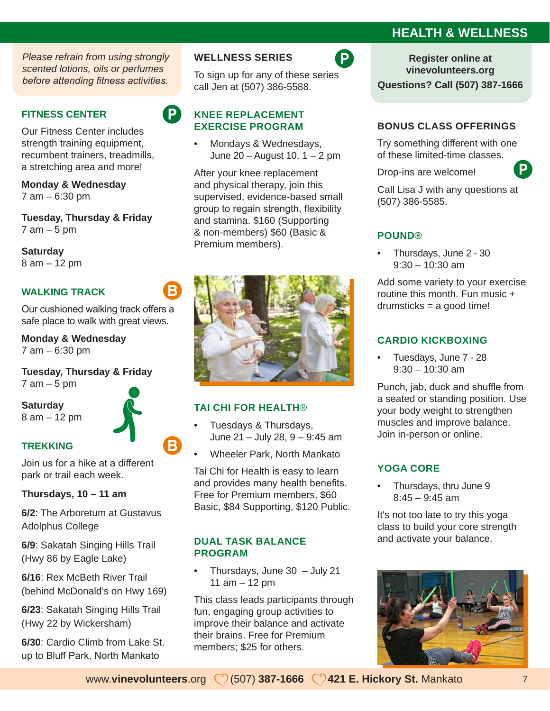*Please refrain from using strongly scented lotions, oils or perfumes before attending fitness activities.*

# **FITNESS CENTER**

Our Fitness Center includes strength training equipment, recumbent trainers, treadmills, a stretching area and more!

# **Monday & Wednesday**

7 am – 6:30 pm

**Tuesday, Thursday & Friday** 7 am – 5 pm

**Saturday** 8 am – 12 pm

# **WALKING TRACK**

Our cushioned walking track offers a safe place to walk with great views.

**Monday & Wednesday** 7 am – 6:30 pm

**Tuesday, Thursday & Friday** 7 am – 5 pm

**Saturday** 8 am – 12 pm

**TREKKING** 



B

Join us for a hike at a different park or trail each week.

# **Thursdays, 10 – 11 am**

**6/2**: The Arboretum at Gustavus Adolphus College

**6/9**: Sakatah Singing Hills Trail (Hwy 86 by Eagle Lake)

**6/16**: Rex McBeth River Trail (behind McDonald's on Hwy 169)

**6/23**: Sakatah Singing Hills Trail (Hwy 22 by Wickersham)

**6/30**: Cardio Climb from Lake St. up to Bluff Park, North Mankato

# **WELLNESS SERIES**

To sign up for any of these series call Jen at (507) 386-5588.

P

# **KNEE REPLACEMENT EXERCISE PROGRAM**

 $\mathsf{P}$ 

• Mondays & Wednesdays, June 20 – August 10, 1 – 2 pm

After your knee replacement and physical therapy, join this supervised, evidence-based small group to regain strength, flexibility and stamina. \$160 (Supporting & non-members) \$60 (Basic & Premium members).



# **TAI CHI FOR HEALTH**®

- Tuesdays & Thursdays, June 21 – July 28, 9 – 9:45 am
- Wheeler Park, North Mankato

Tai Chi for Health is easy to learn and provides many health benefits. Free for Premium members, \$60 Basic, \$84 Supporting, \$120 Public.

# **DUAL TASK BALANCE PROGRAM**

• Thursdays, June 30 – July 21 11 am – 12 pm

This class leads participants through fun, engaging group activities to improve their balance and activate their brains. Free for Premium members; \$25 for others.

# **HEALTH & WELLNESS**

**Register online at vinevolunteers.org Questions? Call (507) 387-1666**

# **BONUS CLASS OFFERINGS**

Try something different with one of these limited-time classes.

Drop-ins are welcome!

Call Lisa J with any questions at (507) 386-5585.

# **POUND®**

• Thursdays, June 2 - 30 9:30 – 10:30 am

Add some variety to your exercise routine this month. Fun music + drumsticks = a good time!

# **CARDIO KICKBOXING**

• Tuesdays, June 7 - 28  $9:30 - 10:30$  am

Punch, jab, duck and shuffle from a seated or standing position. Use your body weight to strengthen muscles and improve balance. Join in-person or online.

# **YOGA CORE**

• Thursdays, thru June 9  $8:45 - 9:45$  am

It's not too late to try this yoga class to build your core strength and activate your balance.

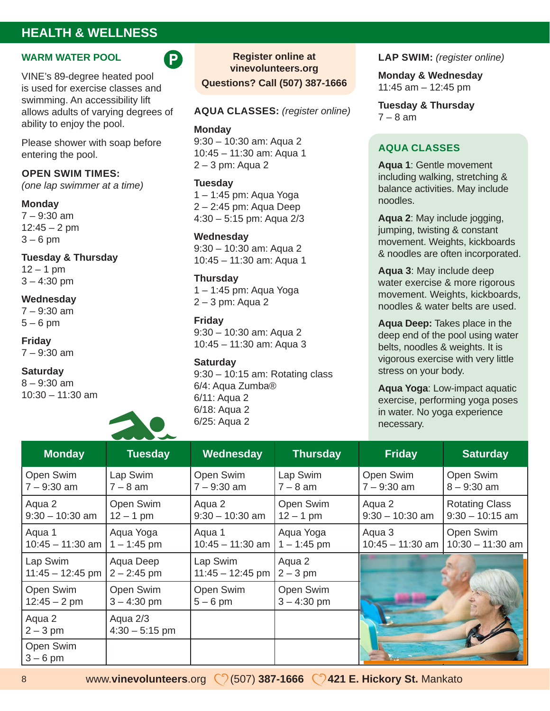# **HEALTH & WELLNESS**

# **WARM WATER POOL**

VINE's 89-degree heated pool is used for exercise classes and swimming. An accessibility lift allows adults of varying degrees of ability to enjoy the pool.

Please shower with soap before entering the pool.

### **OPEN SWIM TIMES:**

*(one lap swimmer at a time)*

### **Monday**

 $7 - 9:30$  am  $12:45 - 2$  pm  $3 - 6$  pm

# **Tuesday & Thursday**

 $12 - 1$  pm  $3 - 4:30$  pm

### **Wednesday**

7 – 9:30 am  $5 - 6$  pm

### **Friday**

7 – 9:30 am

### **Saturday**

8 – 9:30 am 10:30 – 11:30 am



# **Register online at vinevolunteers.org Questions? Call (507) 387-1666**

**AQUA CLASSES:** *(register online)*

### **Monday**

9:30 – 10:30 am: Aqua 2 10:45 – 11:30 am: Aqua 1 2 – 3 pm: Aqua 2

### **Tuesday**

1 – 1:45 pm: Aqua Yoga 2 – 2:45 pm: Aqua Deep 4:30 – 5:15 pm: Aqua 2/3

### **Wednesday**

9:30 – 10:30 am: Aqua 2 10:45 – 11:30 am: Aqua 1

### **Thursday**

1 – 1:45 pm: Aqua Yoga 2 – 3 pm: Aqua 2

# **Friday**

9:30 – 10:30 am: Aqua 2 10:45 – 11:30 am: Aqua 3

### **Saturday**

9:30 – 10:15 am: Rotating class 6/4: Aqua Zumba® 6/11: Aqua 2 6/18: Aqua 2 6/25: Aqua 2

**LAP SWIM:** *(register online)*

**Monday & Wednesday** 11:45 am – 12:45 pm

**Tuesday & Thursday** 7 – 8 am

# **AQUA CLASSES**

**Aqua 1**: Gentle movement including walking, stretching & balance activities. May include noodles.

**Aqua 2**: May include jogging, jumping, twisting & constant movement. Weights, kickboards & noodles are often incorporated.

**Aqua 3**: May include deep water exercise & more rigorous movement. Weights, kickboards, noodles & water belts are used.

**Aqua Deep:** Takes place in the deep end of the pool using water belts, noodles & weights. It is vigorous exercise with very little stress on your body.

**Aqua Yoga**: Low-impact aquatic exercise, performing yoga poses in water. No yoga experience necessary.

| <b>Monday</b>                  | <b>Tuesday</b>               | <b>Wednesday</b>               | <b>Thursday</b>            | <b>Friday</b>                | <b>Saturday</b>                            |
|--------------------------------|------------------------------|--------------------------------|----------------------------|------------------------------|--------------------------------------------|
| Open Swim<br>$7 - 9:30$ am     | Lap Swim<br>$7 - 8$ am       | Open Swim<br>$7 - 9:30$ am     | Lap Swim<br>$7 - 8$ am     | Open Swim<br>$7 - 9:30$ am   | Open Swim<br>$8 - 9:30$ am                 |
| Aqua 2<br>$9:30 - 10:30$ am    | Open Swim<br>$12 - 1$ pm     | Aqua 2<br>$9:30 - 10:30$ am    | Open Swim<br>$12 - 1$ pm   | Aqua 2<br>$9:30 - 10:30$ am  | <b>Rotating Class</b><br>$9:30 - 10:15$ am |
| Aqua 1<br>$10:45 - 11:30$ am   | Aqua Yoga<br>$1 - 1:45$ pm   | Aqua 1<br>$10:45 - 11:30$ am   | Aqua Yoga<br>$1 - 1:45$ pm | Aqua 3<br>$10:45 - 11:30$ am | Open Swim<br>$10:30 - 11:30$ am            |
| Lap Swim<br>$11:45 - 12:45$ pm | Aqua Deep<br>$2 - 2:45$ pm   | Lap Swim<br>$11:45 - 12:45$ pm | Aqua 2<br>$2 - 3$ pm       |                              |                                            |
| Open Swim<br>$12:45 - 2$ pm    | Open Swim<br>$3 - 4:30$ pm   | Open Swim<br>$5 - 6$ pm        | Open Swim<br>$3 - 4:30$ pm |                              |                                            |
| Aqua 2<br>$2 - 3$ pm           | Aqua 2/3<br>$4:30 - 5:15$ pm |                                |                            |                              |                                            |
| Open Swim<br>$3 - 6$ pm        |                              |                                |                            |                              |                                            |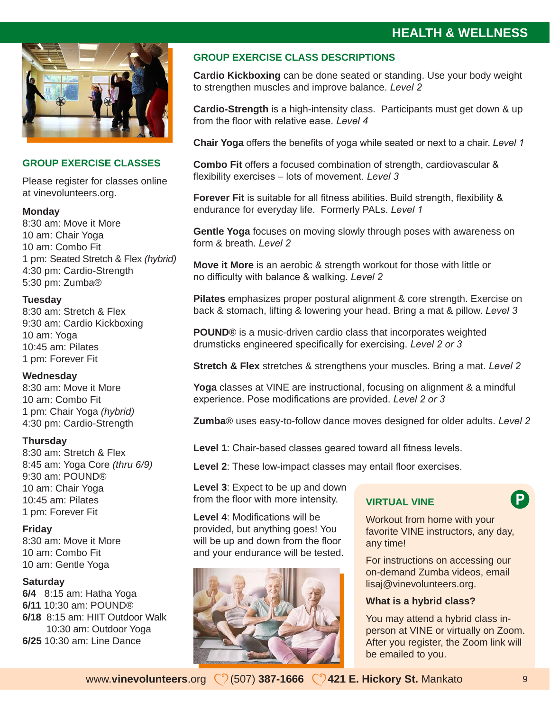

# **GROUP EXERCISE CLASSES**

Please register for classes online at vinevolunteers.org.

# **Monday**

8:30 am: Move it More 10 am: Chair Yoga 10 am: Combo Fit 1 pm: Seated Stretch & Flex *(hybrid)* 4:30 pm: Cardio-Strength 5:30 pm: Zumba®

# **Tuesday**

8:30 am: Stretch & Flex 9:30 am: Cardio Kickboxing 10 am: Yoga 10:45 am: Pilates 1 pm: Forever Fit

# **Wednesday**

8:30 am: Move it More 10 am: Combo Fit 1 pm: Chair Yoga *(hybrid)* 4:30 pm: Cardio-Strength

# **Thursday**

8:30 am: Stretch & Flex 8:45 am: Yoga Core *(thru 6/9)* 9:30 am: POUND® 10 am: Chair Yoga 10:45 am: Pilates 1 pm: Forever Fit

# **Friday**

8:30 am: Move it More 10 am: Combo Fit 10 am: Gentle Yoga

# **Saturday**

**6/4** 8:15 am: Hatha Yoga **6/11** 10:30 am: POUND® **6/18** 8:15 am: HIIT Outdoor Walk 10:30 am: Outdoor Yoga **6/25** 10:30 am: Line Dance

# **GROUP EXERCISE CLASS DESCRIPTIONS**

**Cardio Kickboxing** can be done seated or standing. Use your body weight to strengthen muscles and improve balance. *Level 2* 

**Cardio-Strength** is a high-intensity class. Participants must get down & up from the floor with relative ease. *Level 4* 

**Chair Yoga** offers the benefits of yoga while seated or next to a chair. *Level 1*

**Combo Fit** offers a focused combination of strength, cardiovascular & flexibility exercises – lots of movement. *Level 3*

**Forever Fit** is suitable for all fitness abilities. Build strength, flexibility & endurance for everyday life. Formerly PALs. *Level 1* 

**Gentle Yoga** focuses on moving slowly through poses with awareness on form & breath. *Level 2*

**Move it More** is an aerobic & strength workout for those with little or no difficulty with balance & walking. *Level 2*

**Pilates** emphasizes proper postural alignment & core strength. Exercise on back & stomach, lifting & lowering your head. Bring a mat & pillow. *Level 3* 

**POUND**® is a music-driven cardio class that incorporates weighted drumsticks engineered specifically for exercising. *Level 2 or 3*

**Stretch & Flex** stretches & strengthens your muscles. Bring a mat. *Level 2*

**Yoga** classes at VINE are instructional, focusing on alignment & a mindful experience. Pose modifications are provided. *Level 2 or 3*

**Zumba**® uses easy-to-follow dance moves designed for older adults. *Level 2*

**Level 1**: Chair-based classes geared toward all fitness levels.

**Level 2**: These low-impact classes may entail floor exercises.

**Level 3**: Expect to be up and down from the floor with more intensity.

**Level 4**: Modifications will be provided, but anything goes! You will be up and down from the floor and your endurance will be tested.



# **VIRTUAL VINE**

Workout from home with your favorite VINE instructors, any day, any time!

For instructions on accessing our on-demand Zumba videos, email lisaj@vinevolunteers.org.

# **What is a hybrid class?**

You may attend a hybrid class inperson at VINE or virtually on Zoom. After you register, the Zoom link will be emailed to you.

 $\mathsf{P}$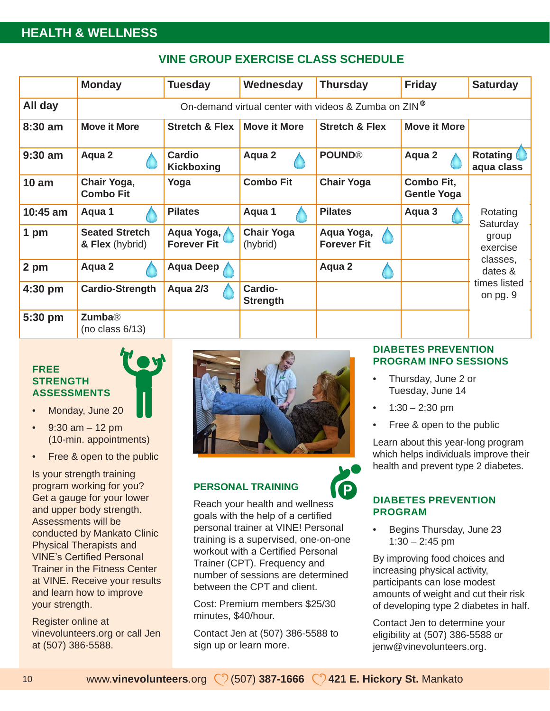# **HEALTH & WELLNESS**

# **VINE GROUP EXERCISE CLASS SCHEDULE**

|            | <b>Monday</b>                                        | <b>Tuesday</b>                     | Wednesday                     | <b>Thursday</b>                  | <b>Friday</b>                    | <b>Saturday</b>               |  |
|------------|------------------------------------------------------|------------------------------------|-------------------------------|----------------------------------|----------------------------------|-------------------------------|--|
| All day    | On-demand virtual center with videos & Zumba on ZIN® |                                    |                               |                                  |                                  |                               |  |
| 8:30 am    | <b>Move it More</b>                                  | <b>Stretch &amp; Flex</b>          | <b>Move it More</b>           | <b>Stretch &amp; Flex</b>        | <b>Move it More</b>              |                               |  |
| $9:30$ am  | Aqua 2                                               | <b>Cardio</b><br><b>Kickboxing</b> | Aqua 2                        | <b>POUND®</b>                    | Aqua 2                           | <b>Rotating</b><br>aqua class |  |
| 10 am      | Chair Yoga,<br><b>Combo Fit</b>                      | Yoga                               | <b>Combo Fit</b>              | <b>Chair Yoga</b>                | Combo Fit,<br><b>Gentle Yoga</b> |                               |  |
| $10:45$ am | Aqua 1                                               | <b>Pilates</b>                     | Aqua 1                        | <b>Pilates</b>                   | Aqua 3                           | Rotating<br>Saturday          |  |
| 1 pm       | <b>Seated Stretch</b><br>& Flex (hybrid)             | Aqua Yoga,<br><b>Forever Fit</b>   | <b>Chair Yoga</b><br>(hybrid) | Aqua Yoga,<br><b>Forever Fit</b> |                                  | group<br>exercise             |  |
| 2 pm       | Aqua 2                                               | <b>Aqua Deep</b>                   |                               | Aqua 2                           |                                  | classes,<br>dates &           |  |
| $4:30$ pm  | <b>Cardio-Strength</b>                               | Aqua 2/3                           | Cardio-<br><b>Strength</b>    |                                  |                                  | times listed<br>on pg. 9      |  |
| 5:30 pm    | <b>Zumba</b> <sup>®</sup><br>(no class $6/13$ )      |                                    |                               |                                  |                                  |                               |  |

# **FREE STRENGTH ASSESSMENTS**

- Monday, June 20
- $9:30$  am  $-12$  pm (10-min. appointments)
- Free & open to the public

Is your strength training program working for you? Get a gauge for your lower and upper body strength. Assessments will be conducted by Mankato Clinic Physical Therapists and VINE's Certified Personal Trainer in the Fitness Center at VINE. Receive your results and learn how to improve your strength.

Register online at vinevolunteers.org or call Jen at (507) 386-5588.



# **PERSONAL TRAINING**

Reach your health and wellness goals with the help of a certified personal trainer at VINE! Personal training is a supervised, one-on-one workout with a Certified Personal Trainer (CPT). Frequency and number of sessions are determined between the CPT and client.

Cost: Premium members \$25/30 minutes, \$40/hour.

Contact Jen at (507) 386-5588 to sign up or learn more.

# **DIABETES PREVENTION PROGRAM INFO SESSIONS**

- Thursday, June 2 or Tuesday, June 14
- $1:30 2:30$  pm
- Free & open to the public

Learn about this year-long program which helps individuals improve their health and prevent type 2 diabetes.

# **DIABETES PREVENTION PROGRAM**

• Begins Thursday, June 23  $1:30 - 2:45$  pm

By improving food choices and increasing physical activity, participants can lose modest amounts of weight and cut their risk of developing type 2 diabetes in half.

Contact Jen to determine your eligibility at (507) 386-5588 or jenw@vinevolunteers.org.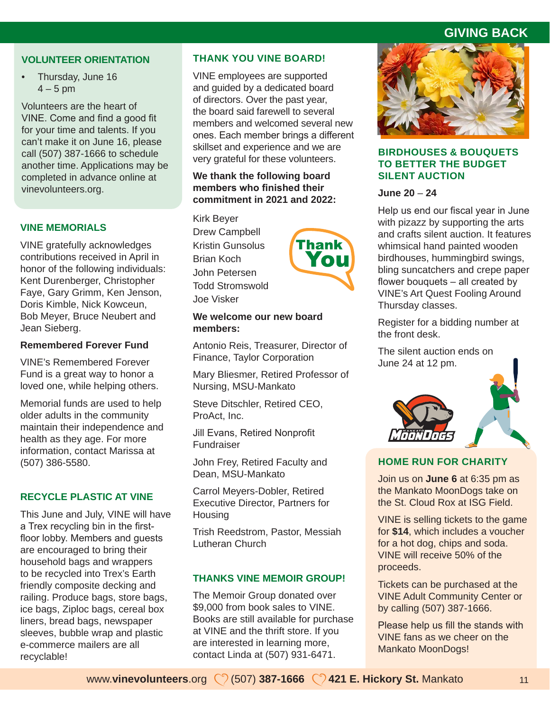# **GIVING BACK**

# **VOLUNTEER ORIENTATION**

• Thursday, June 16  $4 - 5$  pm

Volunteers are the heart of VINE. Come and find a good fit for your time and talents. If you can't make it on June 16, please call (507) 387-1666 to schedule another time. Applications may be completed in advance online at vinevolunteers.org.

# **VINE MEMORIALS**

VINE gratefully acknowledges contributions received in April in honor of the following individuals: Kent Durenberger, Christopher Faye, Gary Grimm, Ken Jenson, Doris Kimble, Nick Kowceun, Bob Meyer, Bruce Neubert and Jean Sieberg.

### **Remembered Forever Fund**

VINE's Remembered Forever Fund is a great way to honor a loved one, while helping others.

Memorial funds are used to help older adults in the community maintain their independence and health as they age. For more information, contact Marissa at (507) 386-5580.

### **RECYCLE PLASTIC AT VINE**

This June and July, VINE will have a Trex recycling bin in the firstfloor lobby. Members and guests are encouraged to bring their household bags and wrappers to be recycled into Trex's Earth friendly composite decking and railing. Produce bags, store bags, ice bags, Ziploc bags, cereal box liners, bread bags, newspaper sleeves, bubble wrap and plastic e-commerce mailers are all recyclable!

### **THANK YOU VINE BOARD!**

VINE employees are supported and guided by a dedicated board of directors. Over the past year, the board said farewell to several members and welcomed several new ones. Each member brings a different skillset and experience and we are very grateful for these volunteers.

# **We thank the following board members who finished their commitment in 2021 and 2022:**

hank OL

Kirk Beyer Drew Campbell Kristin Gunsolus Brian Koch John Petersen Todd Stromswold Joe Visker

**We welcome our new board members:**

Antonio Reis, Treasurer, Director of Finance, Taylor Corporation

Mary Bliesmer, Retired Professor of Nursing, MSU-Mankato

Steve Ditschler, Retired CEO, ProAct, Inc.

Jill Evans, Retired Nonprofit Fundraiser

John Frey, Retired Faculty and Dean, MSU-Mankato

Carrol Meyers-Dobler, Retired Executive Director, Partners for Housing

Trish Reedstrom, Pastor, Messiah Lutheran Church

# **THANKS VINE MEMOIR GROUP!**

The Memoir Group donated over \$9,000 from book sales to VINE. Books are still available for purchase at VINE and the thrift store. If you are interested in learning more, contact Linda at (507) 931-6471.



# **BIRDHOUSES & BOUQUETS TO BETTER THE BUDGET SILENT AUCTION**

# **June 20** – **24**

Help us end our fiscal year in June with pizazz by supporting the arts and crafts silent auction. It features whimsical hand painted wooden birdhouses, hummingbird swings, bling suncatchers and crepe paper flower bouquets – all created by VINE's Art Quest Fooling Around Thursday classes.

Register for a bidding number at the front desk.

The silent auction ends on June 24 at 12 pm.



# **HOME RUN FOR CHARITY**

Join us on **June 6** at 6:35 pm as the Mankato MoonDogs take on the St. Cloud Rox at ISG Field.

VINE is selling tickets to the game for **\$14**, which includes a voucher for a hot dog, chips and soda. VINE will receive 50% of the proceeds.

Tickets can be purchased at the VINE Adult Community Center or by calling (507) 387-1666.

Please help us fill the stands with VINE fans as we cheer on the Mankato MoonDogs!